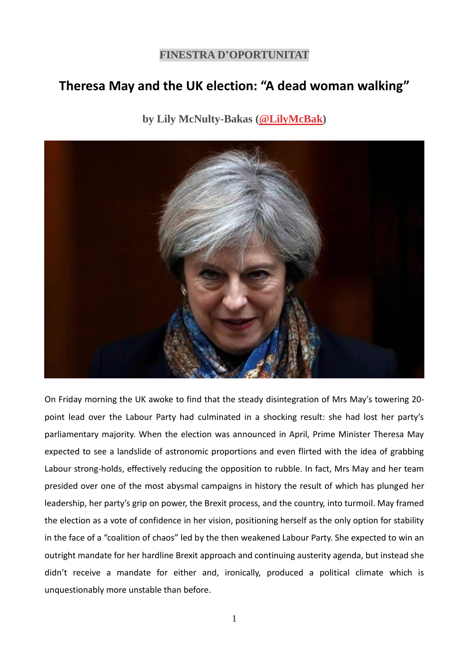## **FINESTRA D'OPORTUNITAT**

## **Theresa May and the UK election: "A dead woman walking"**

## **by Lily McNulty-Bakas [\(@LilyMcBak\)](https://twitter.com/LilyMcBak)**



On Friday morning the UK awoke to find that the steady disintegration of Mrs May's towering 20 point lead over the Labour Party had culminated in a shocking result: she had lost her party's parliamentary majority. When the election was announced in April, Prime Minister Theresa May expected to see a landslide of astronomic proportions and even flirted with the idea of grabbing Labour strong-holds, effectively reducing the opposition to rubble. In fact, Mrs May and her team presided over one of the most abysmal campaigns in history the result of which has plunged her leadership, her party's grip on power, the Brexit process, and the country, into turmoil. May framed the election as a vote of confidence in her vision, positioning herself as the only option for stability in the face of a "coalition of chaos" led by the then weakened Labour Party. She expected to win an outright mandate for her hardline Brexit approach and continuing austerity agenda, but instead she didn't receive a mandate for either and, ironically, produced a political climate which is unquestionably more unstable than before.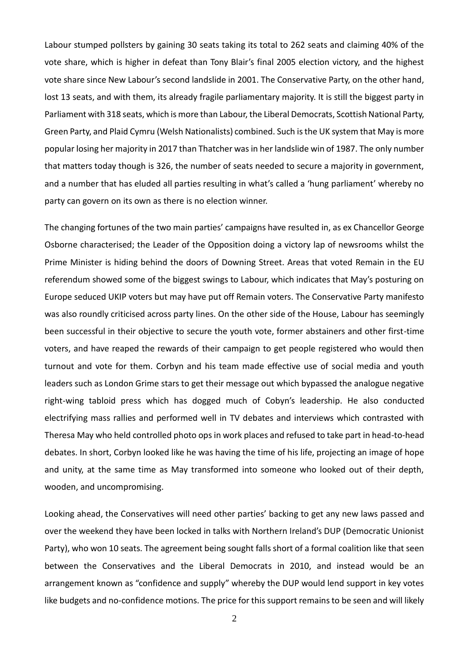Labour stumped pollsters by gaining 30 seats taking its total to 262 seats and claiming 40% of the vote share, which is higher in defeat than Tony Blair's final 2005 election victory, and the highest vote share since New Labour's second landslide in 2001. The Conservative Party, on the other hand, lost 13 seats, and with them, its already fragile parliamentary majority. It is still the biggest party in Parliament with 318 seats, which is more than Labour, the Liberal Democrats, Scottish National Party, Green Party, and Plaid Cymru (Welsh Nationalists) combined. Such is the UK system that May is more popular losing her majority in 2017 than Thatcher was in her landslide win of 1987. The only number that matters today though is 326, the number of seats needed to secure a majority in government, and a number that has eluded all parties resulting in what's called a 'hung parliament' whereby no party can govern on its own as there is no election winner.

The changing fortunes of the two main parties' campaigns have resulted in, as ex Chancellor George Osborne characterised; the Leader of the Opposition doing a victory lap of newsrooms whilst the Prime Minister is hiding behind the doors of Downing Street. Areas that voted Remain in the EU referendum showed some of the biggest swings to Labour, which indicates that May's posturing on Europe seduced UKIP voters but may have put off Remain voters. The Conservative Party manifesto was also roundly criticised across party lines. On the other side of the House, Labour has seemingly been successful in their objective to secure the youth vote, former abstainers and other first-time voters, and have reaped the rewards of their campaign to get people registered who would then turnout and vote for them. Corbyn and his team made effective use of social media and youth leaders such as London Grime stars to get their message out which bypassed the analogue negative right-wing tabloid press which has dogged much of Cobyn's leadership. He also conducted electrifying mass rallies and performed well in TV debates and interviews which contrasted with Theresa May who held controlled photo ops in work places and refused to take part in head-to-head debates. In short, Corbyn looked like he was having the time of his life, projecting an image of hope and unity, at the same time as May transformed into someone who looked out of their depth, wooden, and uncompromising.

Looking ahead, the Conservatives will need other parties' backing to get any new laws passed and over the weekend they have been locked in talks with Northern Ireland's DUP (Democratic Unionist Party), who won 10 seats. The agreement being sought falls short of a formal coalition like that seen between the Conservatives and the Liberal Democrats in 2010, and instead would be an arrangement known as "confidence and supply" whereby the DUP would lend support in key votes like budgets and no-confidence motions. The price for this support remains to be seen and will likely

2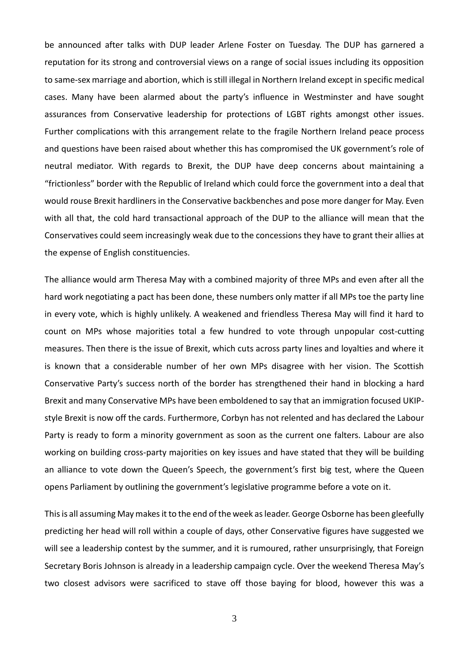be announced after talks with DUP leader Arlene Foster on Tuesday. The DUP has garnered a reputation for its strong and controversial views on a range of social issues including its opposition to same-sex marriage and abortion, which is still illegal in Northern Ireland except in specific medical cases. Many have been alarmed about the party's influence in Westminster and have sought assurances from Conservative leadership for protections of LGBT rights amongst other issues. Further complications with this arrangement relate to the fragile Northern Ireland peace process and questions have been raised about whether this has compromised the UK government's role of neutral mediator. With regards to Brexit, the DUP have deep concerns about maintaining a "frictionless" border with the Republic of Ireland which could force the government into a deal that would rouse Brexit hardliners in the Conservative backbenches and pose more danger for May. Even with all that, the cold hard transactional approach of the DUP to the alliance will mean that the Conservatives could seem increasingly weak due to the concessions they have to grant their allies at the expense of English constituencies.

The alliance would arm Theresa May with a combined majority of three MPs and even after all the hard work negotiating a pact has been done, these numbers only matter if all MPs toe the party line in every vote, which is highly unlikely. A weakened and friendless Theresa May will find it hard to count on MPs whose majorities total a few hundred to vote through unpopular cost-cutting measures. Then there is the issue of Brexit, which cuts across party lines and loyalties and where it is known that a considerable number of her own MPs disagree with her vision. The Scottish Conservative Party's success north of the border has strengthened their hand in blocking a hard Brexit and many Conservative MPs have been emboldened to say that an immigration focused UKIPstyle Brexit is now off the cards. Furthermore, Corbyn has not relented and has declared the Labour Party is ready to form a minority government as soon as the current one falters. Labour are also working on building cross-party majorities on key issues and have stated that they will be building an alliance to vote down the Queen's Speech, the government's first big test, where the Queen opens Parliament by outlining the government's legislative programme before a vote on it.

This is all assuming May makes it to the end of the week as leader. George Osborne has been gleefully predicting her head will roll within a couple of days, other Conservative figures have suggested we will see a leadership contest by the summer, and it is rumoured, rather unsurprisingly, that Foreign Secretary Boris Johnson is already in a leadership campaign cycle. Over the weekend Theresa May's two closest advisors were sacrificed to stave off those baying for blood, however this was a

3